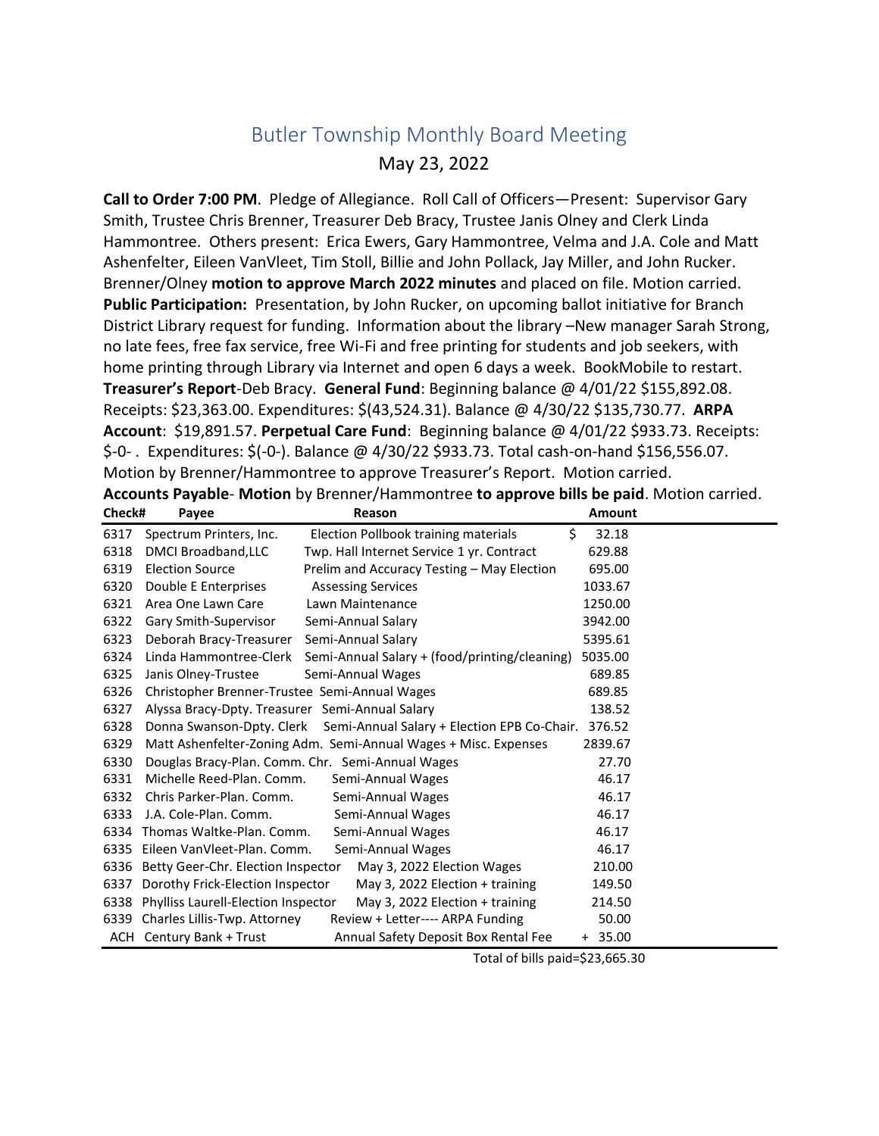## Butler Township Monthly Board Meeting May 23, 2022

**Call to Order 7:00 PM**. Pledge of Allegiance. Roll Call of Officers—Present: Supervisor Gary Smith, Trustee Chris Brenner, Treasurer Deb Bracy, Trustee Janis Olney and Clerk Linda Hammontree. Others present: Erica Ewers, Gary Hammontree, Velma and J.A. Cole and Matt Ashenfelter, Eileen VanVleet, Tim Stoll, Billie and John Pollack, Jay Miller, and John Rucker. Brenner/Olney **motion to approve March 2022 minutes** and placed on file. Motion carried. **Public Participation:** Presentation, by John Rucker, on upcoming ballot initiative for Branch District Library request for funding. Information about the library –New manager Sarah Strong, no late fees, free fax service, free Wi-Fi and free printing for students and job seekers, with home printing through Library via Internet and open 6 days a week. BookMobile to restart. **Treasurer's Report**-Deb Bracy. **General Fund**: Beginning balance @ 4/01/22 \$155,892.08. Receipts: \$23,363.00. Expenditures: \$(43,524.31). Balance @ 4/30/22 \$135,730.77. **ARPA Account**: \$19,891.57. **Perpetual Care Fund**: Beginning balance @ 4/01/22 \$933.73. Receipts: \$-0- . Expenditures: \$(-0-). Balance @ 4/30/22 \$933.73. Total cash-on-hand \$156,556.07. Motion by Brenner/Hammontree to approve Treasurer's Report. Motion carried. **Accounts Payable**- **Motion** by Brenner/Hammontree **to approve bills be paid**. Motion carried.

| Check# | Payee                                           | Reason                                                                | <b>Amount</b> |
|--------|-------------------------------------------------|-----------------------------------------------------------------------|---------------|
| 6317   | Spectrum Printers, Inc.                         | \$<br>Election Pollbook training materials                            | 32.18         |
| 6318   | DMCI Broadband, LLC                             | Twp. Hall Internet Service 1 yr. Contract                             | 629.88        |
| 6319   | <b>Election Source</b>                          | Prelim and Accuracy Testing - May Election                            | 695.00        |
| 6320   | Double E Enterprises                            | <b>Assessing Services</b>                                             | 1033.67       |
| 6321   | Area One Lawn Care                              | Lawn Maintenance                                                      | 1250.00       |
| 6322   | Gary Smith-Supervisor                           | Semi-Annual Salary                                                    | 3942.00       |
| 6323   | Deborah Bracy-Treasurer                         | Semi-Annual Salary                                                    | 5395.61       |
| 6324   | Linda Hammontree-Clerk                          | Semi-Annual Salary + (food/printing/cleaning)                         | 5035.00       |
| 6325   | Janis Olney-Trustee                             | Semi-Annual Wages                                                     | 689.85        |
| 6326   | Christopher Brenner-Trustee Semi-Annual Wages   |                                                                       | 689.85        |
| 6327   | Alyssa Bracy-Dpty. Treasurer Semi-Annual Salary |                                                                       | 138.52        |
| 6328   |                                                 | Donna Swanson-Dpty. Clerk Semi-Annual Salary + Election EPB Co-Chair. | 376.52        |
| 6329   |                                                 | Matt Ashenfelter-Zoning Adm. Semi-Annual Wages + Misc. Expenses       | 2839.67       |
| 6330   |                                                 | Douglas Bracy-Plan. Comm. Chr. Semi-Annual Wages                      | 27.70         |
| 6331   | Michelle Reed-Plan. Comm.                       | Semi-Annual Wages                                                     | 46.17         |
| 6332   | Chris Parker-Plan. Comm.                        | Semi-Annual Wages                                                     | 46.17         |
| 6333   | J.A. Cole-Plan. Comm.                           | Semi-Annual Wages                                                     | 46.17         |
| 6334   | Thomas Waltke-Plan. Comm.                       | Semi-Annual Wages                                                     | 46.17         |
| 6335   | Eileen VanVleet-Plan. Comm.                     | Semi-Annual Wages                                                     | 46.17         |
| 6336   | Betty Geer-Chr. Election Inspector              | May 3, 2022 Election Wages                                            | 210.00        |
| 6337   | Dorothy Frick-Election Inspector                | May 3, 2022 Election + training                                       | 149.50        |
| 6338   | Phylliss Laurell-Election Inspector             | May 3, 2022 Election + training                                       | 214.50        |
|        | 6339 Charles Lillis-Twp. Attorney               | Review + Letter---- ARPA Funding                                      | 50.00         |
|        | ACH Century Bank + Trust                        | Annual Safety Deposit Box Rental Fee                                  | $+ 35.00$     |

Total of bills paid=\$23,665.30